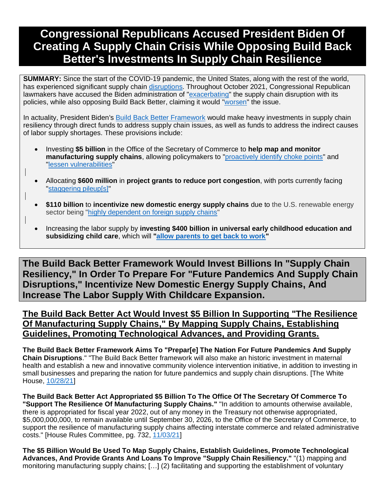# **Congressional Republicans Accused President Biden Of Creating A Supply Chain Crisis While Opposing Build Back Better's Investments In Supply Chain Resilience**

**SUMMARY:** Since the start of the COVID-19 pandemic, the United States, along with the rest of the world, has experienced significant supply chain [disruptions.](https://www.forbes.com/sites/garthfriesen/2021/09/03/no-end-in-sight-for-the-covid-led-global-supply-chain-disruption/?sh=16241a753491) Throughout October 2021, Congressional Republican lawmakers have accused the Biden administration of ["exacerbating"](https://www.gop.gov/biden-and-pelosis-radical-policies-are-making-the-supply-chain-crisis-worse/) the supply chain disruption with its policies, while also opposing Build Back Better, claiming it would ["worsen"](https://republicans-transportation.house.gov/uploadedfiles/2021-10-20_supply_chain_crisis_letter.pdf?utm_campaign=196888-345) the issue.

In actuality, President Biden's [Build Back Better Framework](https://rules.house.gov/sites/democrats.rules.house.gov/files/BILLS-117HR5376RH-RCP117-18.pdf) would make heavy investments in supply chain resiliency through direct funds to address supply chain issues, as well as funds to address the indirect causes of labor supply shortages. These provisions include:

- Investing **\$5 billion** in the Office of the Secretary of Commerce to **help map and monitor manufacturing supply chains**, allowing policymakers to ["proactively identify choke points"](https://www.brookings.edu/blog/future-development/2020/03/05/the-coronavirus-will-reveal-hidden-vulnerabilities-in-complex-global-supply-chains/) and ["lessen vulnerabilities"](https://www.brookings.edu/blog/future-development/2020/03/05/the-coronavirus-will-reveal-hidden-vulnerabilities-in-complex-global-supply-chains/)
- Allocating **\$600 million** in **project grants to reduce port congestion**, with ports currently facing ["staggering pileup\[s\]"](https://www.nytimes.com/2021/10/11/business/supply-chain-crisis-savannah-port.html)
- **\$110 billion** to **incentivize new domestic energy supply chains** due to the U.S. renewable energy sector being ["highly dependent on foreign supply chains"](https://www.americanprogress.org/issues/security/reports/2021/10/04/504512/creating-domestic-u-s-supply-chain-clean-energy-technology/)
- Increasing the labor supply by **investing \$400 billion in universal early childhood education and subsidizing child care**, which will **["allow parents to get back to work"](https://rooseveltinstitute.org/wp-content/uploads/2021/09/RI_InflationBBB_Factsheet_202109.pdf)**

**The Build Back Better Framework Would Invest Billions In "Supply Chain Resiliency," In Order To Prepare For "Future Pandemics And Supply Chain Disruptions," Incentivize New Domestic Energy Supply Chains, And Increase The Labor Supply With Childcare Expansion.**

### **The Build Back Better Act Would Invest \$5 Billion In Supporting "The Resilience Of Manufacturing Supply Chains," By Mapping Supply Chains, Establishing Guidelines, Promoting Technological Advances, and Providing Grants.**

**The Build Back Better Framework Aims To "Prepar[e] The Nation For Future Pandemics And Supply Chain Disruptions**." "The Build Back Better framework will also make an historic investment in maternal health and establish a new and innovative community violence intervention initiative, in addition to investing in small businesses and preparing the nation for future pandemics and supply chain disruptions. [The White House, [10/28/21\]](https://www.whitehouse.gov/briefing-room/statements-releases/2021/10/28/president-biden-announces-the-build-back-better-framework/)

**The Build Back Better Act Appropriated \$5 Billion To The Office Of The Secretary Of Commerce To "Support The Resilience Of Manufacturing Supply Chains."** "In addition to amounts otherwise available, there is appropriated for fiscal year 2022, out of any money in the Treasury not otherwise appropriated, \$5,000,000,000, to remain available until September 30, 2026, to the Office of the Secretary of Commerce, to support the resilience of manufacturing supply chains affecting interstate commerce and related administrative costs." [House Rules Committee, pg. 732, [11/03/21\]](https://rules.house.gov/sites/democrats.rules.house.gov/files/BILLS-117HR5376RH-RCP117-18.pdf)

**The \$5 Billion Would Be Used To Map Supply Chains, Establish Guidelines, Promote Technological Advances, And Provide Grants And Loans To Improve "Supply Chain Resiliency."** "(1) mapping and monitoring manufacturing supply chains; […] (2) facilitating and supporting the establishment of voluntary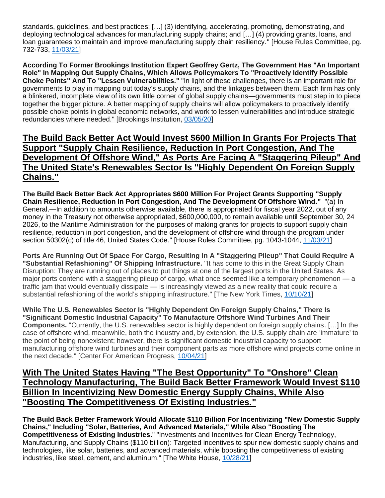standards, guidelines, and best practices; […] (3) identifying, accelerating, promoting, demonstrating, and deploying technological advances for manufacturing supply chains; and […] (4) providing grants, loans, and loan guarantees to maintain and improve manufacturing supply chain resiliency." [House Rules Committee, pg. 732-733, [11/03/21\]](https://rules.house.gov/sites/democrats.rules.house.gov/files/BILLS-117HR5376RH-RCP117-18.pdf)

**According To Former Brookings Institution Expert Geoffrey Gertz, The Government Has "An Important Role" In Mapping Out Supply Chains, Which Allows Policymakers To "Proactively Identify Possible Choke Points" And To "Lessen Vulnerabilities."** "In light of these challenges, there is an important role for governments to play in mapping out today's supply chains, and the linkages between them. Each firm has only a blinkered, incomplete view of its own little corner of global supply chains—governments must step in to piece together the bigger picture. A better mapping of supply chains will allow policymakers to proactively identify possible choke points in global economic networks, and work to lessen vulnerabilities and introduce strategic redundancies where needed." [Brookings Institution, [03/05/20\]](https://www.brookings.edu/blog/future-development/2020/03/05/the-coronavirus-will-reveal-hidden-vulnerabilities-in-complex-global-supply-chains/)

#### **The Build Back Better Act Would Invest \$600 Million In Grants For Projects That Support "Supply Chain Resilience, Reduction In Port Congestion, And The Development Of Offshore Wind," As Ports Are Facing A "Staggering Pileup" And The United State's Renewables Sector Is "Highly Dependent On Foreign Supply Chains."**

**The Build Back Better Back Act Appropriates \$600 Million For Project Grants Supporting "Supply Chain Resilience, Reduction In Port Congestion, And The Development Of Offshore Wind."** "(a) In General.—In addition to amounts otherwise available, there is appropriated for fiscal year 2022, out of any money in the Treasury not otherwise appropriated, \$600,000,000, to remain available until September 30, 24 2026, to the Maritime Administration for the purposes of making grants for projects to support supply chain resilience, reduction in port congestion, and the development of offshore wind through the program under section 50302(c) of title 46, United States Code." [House Rules Committee, pg. 1043-1044, [11/03/21\]](https://rules.house.gov/sites/democrats.rules.house.gov/files/BILLS-117HR5376RH-RCP117-18.pdf)

**Ports Are Running Out Of Space For Cargo, Resulting In A "Staggering Pileup" That Could Require A "Substantial Refashioning" Of Shipping Infrastructure.** "It has come to this in the Great Supply Chain Disruption: They are running out of places to put things at one of the largest ports in the United States. As major ports contend with a staggering pileup of cargo, what once seemed like a temporary phenomenon — a traffic jam that would eventually dissipate — is increasingly viewed as a new reality that could require a substantial refashioning of the world's shipping infrastructure." [The New York Times, [10/10/21\]](https://www.nytimes.com/2021/10/11/business/supply-chain-crisis-savannah-port.html)

**While The U.S. Renewables Sector Is "Highly Dependent On Foreign Supply Chains," There Is "Significant Domestic Industrial Capacity" To Manufacture Offshore Wind Turbines And Their Components.** "Currently, the U.S. renewables sector is highly dependent on foreign supply chains. […] In the case of offshore wind, meanwhile, both the industry and, by extension, the U.S. supply chain are 'immature' to the point of being nonexistent; however, there is significant domestic industrial capacity to support manufacturing offshore wind turbines and their component parts as more offshore wind projects come online in the next decade." [Center For American Progress, [10/04/21\]](https://www.americanprogress.org/issues/security/reports/2021/10/04/504512/creating-domestic-u-s-supply-chain-clean-energy-technology/)

#### **With The United States Having "The Best Opportunity" To "Onshore" Clean Technology Manufacturing, The Build Back Better Framework Would Invest \$110 Billion In Incentivizing New Domestic Energy Supply Chains, While Also "Boosting The Competitiveness Of Existing Industries."**

**The Build Back Better Framework Would Allocate \$110 Billion For Incentivizing "New Domestic Supply Chains," Including "Solar, Batteries, And Advanced Materials," While Also "Boosting The Competitiveness of Existing Industries**." "Investments and Incentives for Clean Energy Technology, Manufacturing, and Supply Chains (\$110 billion): Targeted incentives to spur new domestic supply chains and technologies, like solar, batteries, and advanced materials, while boosting the competitiveness of existing industries, like steel, cement, and aluminum." [The White House, [10/28/21\]](https://www.whitehouse.gov/briefing-room/statements-releases/2021/10/28/build-back-better-framework/)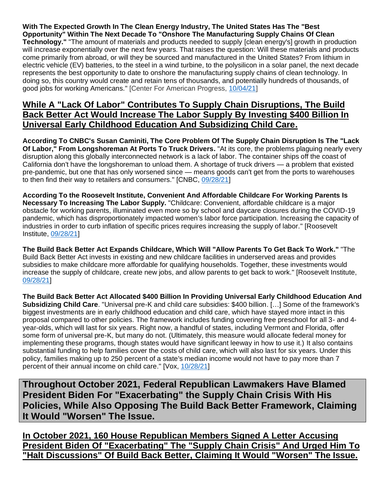**With The Expected Growth In The Clean Energy Industry, The United States Has The "Best Opportunity" Within The Next Decade To "Onshore The Manufacturing Supply Chains Of Clean Technology."** "The amount of materials and products needed to supply [clean energy's] growth in production will increase exponentially over the next few years. That raises the question: Will these materials and products come primarily from abroad, or will they be sourced and manufactured in the United States? From lithium in electric vehicle (EV) batteries, to the steel in a wind turbine, to the polysilicon in a solar panel, the next decade represents the best opportunity to date to onshore the manufacturing supply chains of clean technology. In doing so, this country would create and retain tens of thousands, and potentially hundreds of thousands, of good jobs for working Americans." [Center For American Progress, [10/04/21\]](https://www.americanprogress.org/issues/security/reports/2021/10/04/504512/creating-domestic-u-s-supply-chain-clean-energy-technology/)

#### **While A "Lack Of Labor" Contributes To Supply Chain Disruptions, The Build Back Better Act Would Increase The Labor Supply By Investing \$400 Billion In Universal Early Childhood Education And Subsidizing Child Care.**

**According To CNBC's Susan Caminiti, The Core Problem Of The Supply Chain Disruption Is The "Lack Of Labor," From Longshoreman At Ports To Truck Drivers.** "At its core, the problems plaguing nearly every disruption along this globally interconnected network is a lack of labor. The container ships off the coast of California don't have the longshoreman to unload them. A shortage of truck drivers — a problem that existed pre-pandemic, but one that has only worsened since — means goods can't get from the ports to warehouses to then find their way to retailers and consumers." [CNBC, [09/28/21\]](https://www.cnbc.com/2021/09/28/companies-need-more-workers-to-help-resolve-supply-chain-problems.html)

**According To the Roosevelt Institute, Convenient And Affordable Childcare For Working Parents Is Necessary To Increasing The Labor Supply.** "Childcare: Convenient, affordable childcare is a major obstacle for working parents, illuminated even more so by school and daycare closures during the COVID-19 pandemic, which has disproportionately impacted women's labor force participation. Increasing the capacity of industries in order to curb inflation of specific prices requires increasing the supply of labor." [Roosevelt Institute, [09/28/21\]](https://rooseveltinstitute.org/wp-content/uploads/2021/09/RI_InflationBBB_Factsheet_202109.pdf)

**The Build Back Better Act Expands Childcare, Which Will "Allow Parents To Get Back To Work."** "The Build Back Better Act invests in existing and new childcare facilities in underserved areas and provides subsidies to make childcare more affordable for qualifying households. Together, these investments would increase the supply of childcare, create new jobs, and allow parents to get back to work." [Roosevelt Institute, [09/28/21\]](https://rooseveltinstitute.org/wp-content/uploads/2021/09/RI_InflationBBB_Factsheet_202109.pdf)

**The Build Back Better Act Allocated \$400 Billion In Providing Universal Early Childhood Education And Subsidizing Child Care**. "Universal pre-K and child care subsidies: \$400 billion. […] Some of the framework's biggest investments are in early childhood education and child care, which have stayed more intact in this proposal compared to other policies. The framework includes funding covering free preschool for all 3- and 4 year-olds, which will last for six years. Right now, a handful of states, including Vermont and Florida, offer some form of universal pre-K, but many do not. (Ultimately, this measure would allocate federal money for implementing these programs, though states would have significant leeway in how to use it.) It also contains substantial funding to help families cover the costs of child care, which will also last for six years. Under this policy, families making up to 250 percent of a state's median income would not have to pay more than 7 percent of their annual income on child care." [Vox, [10/28/21\]](https://www.vox.com/2021/10/28/22748554/biden-budget-build-back-better-democrats-child-care-taxes)

**Throughout October 2021, Federal Republican Lawmakers Have Blamed President Biden For "Exacerbating" the Supply Chain Crisis With His Policies, While Also Opposing The Build Back Better Framework, Claiming It Would "Worsen" The Issue.** 

**In October 2021, 160 House Republican Members Signed A Letter Accusing President Biden Of "Exacerbating" The "Supply Chain Crisis" And Urged Him To "Halt Discussions" Of Build Back Better, Claiming It Would "Worsen" The Issue.**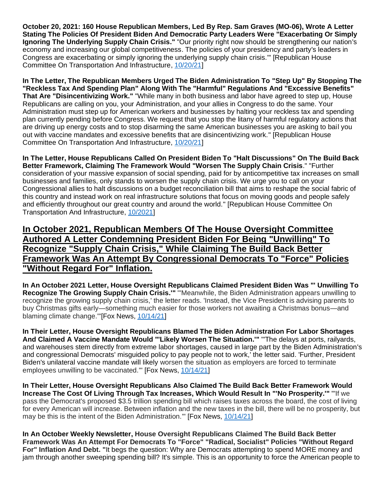**October 20, 2021: 160 House Republican Members, Led By Rep. Sam Graves (MO-06), Wrote A Letter Stating The Policies Of President Biden And Democratic Party Leaders Were "Exacerbating Or Simply Ignoring The Underlying Supply Chain Crisis."** "Our priority right now should be strengthening our nation's economy and increasing our global competitiveness. The policies of your presidency and party's leaders in Congress are exacerbating or simply ignoring the underlying supply chain crisis.'" [Republican House Committee On Transportation And Infrastructure, [10/20/21\]](https://republicans-transportation.house.gov/uploadedfiles/2021-10-20_supply_chain_crisis_letter.pdf?utm_campaign=196888-345)

**In The Letter, The Republican Members Urged The Biden Administration To "Step Up" By Stopping The "Reckless Tax And Spending Plan" Along With The "Harmful" Regulations And "Excessive Benefits" That Are "Disincentivizing Work."** "While many in both business and labor have agreed to step up, House Republicans are calling on you, your Administration, and your allies in Congress to do the same. Your Administration must step up for American workers and businesses by halting your reckless tax and spending plan currently pending before Congress. We request that you stop the litany of harmful regulatory actions that are driving up energy costs and to stop disarming the same American businesses you are asking to bail you out with vaccine mandates and excessive benefits that are disincentivizing work." [Republican House Committee On Transportation And Infrastructure, [10/20/21\]](https://republicans-transportation.house.gov/uploadedfiles/2021-10-20_supply_chain_crisis_letter.pdf?utm_campaign=196888-345)

**In The Letter, House Republicans Called On President Biden To "Halt Discussions" On The Build Back Better Framework, Claiming The Framework Would "Worsen The Supply Chain Crisis**." "Further consideration of your massive expansion of social spending, paid for by anticompetitive tax increases on small businesses and families, only stands to worsen the supply chain crisis. We urge you to call on your Congressional allies to halt discussions on a budget reconciliation bill that aims to reshape the social fabric of this country and instead work on real infrastructure solutions that focus on moving goods and people safely and efficiently throughout our great country and around the world." [Republican House Committee On Transportation And Infrastructure, [10/2021\]](https://republicans-transportation.house.gov/uploadedfiles/2021-10-20_supply_chain_crisis_letter.pdf?utm_campaign=196888-345)

**In October 2021, Republican Members Of The House Oversight Committee Authored A Letter Condemning President Biden For Being "Unwilling" To Recognize "Supply Chain Crisis," While Claiming The Build Back Better Framework Was An Attempt By Congressional Democrats To "Force" Policies "Without Regard For" Inflation.** 

**In An October 2021 Letter, House Oversight Republicans Claimed President Biden Was "' Unwilling To Recognize The Growing Supply Chain Crisis.'"** "'Meanwhile, the Biden Administration appears unwilling to recognize the growing supply chain crisis,' the letter reads. 'Instead, the Vice President is advising parents to buy Christmas gifts early—something much easier for those workers not awaiting a Christmas bonus—and blaming climate change.'"[Fox News, [10/14/21\]](https://www.foxnews.com/politics/house-oversight-republicans-call-biden-admin-address-ongoing-supply-chain-crisis)

**In Their Letter, House Oversight Republicans Blamed The Biden Administration For Labor Shortages And Claimed A Vaccine Mandate Would "'Likely Worsen The Situation.'"** "'The delays at ports, railyards, and warehouses stem directly from extreme labor shortages, caused in large part by the Biden Administration's and congressional Democrats' misguided policy to pay people not to work,' the letter said. 'Further, President Biden's unilateral vaccine mandate will likely worsen the situation as employers are forced to terminate employees unwilling to be vaccinated." [Fox News, [10/14/21\]](https://www.foxnews.com/politics/house-oversight-republicans-call-biden-admin-address-ongoing-supply-chain-crisis)

**In Their Letter, House Oversight Republicans Also Claimed The Build Back Better Framework Would Increase The Cost Of Living Through Tax Increases, Which Would Result In "'No Prosperity.'"** "'If we pass the Democrat's proposed \$3.5 trillion spending bill which raises taxes across the board, the cost of living for every American will increase. Between inflation and the new taxes in the bill, there will be no prosperity, but may be this is the intent of the Biden Administration.'" [Fox News, [10/14/21\]](https://www.foxnews.com/politics/house-oversight-republicans-call-biden-admin-address-ongoing-supply-chain-crisis)

**In An October Weekly Newsletter, House Oversight Republicans Claimed The Build Back Better Framework Was An Attempt For Democrats To "Force" "Radical, Socialist" Policies "Without Regard For" Inflation And Debt. "**It begs the question: Why are Democrats attempting to spend MORE money and jam through another sweeping spending bill? It's simple. This is an opportunity to force the American people to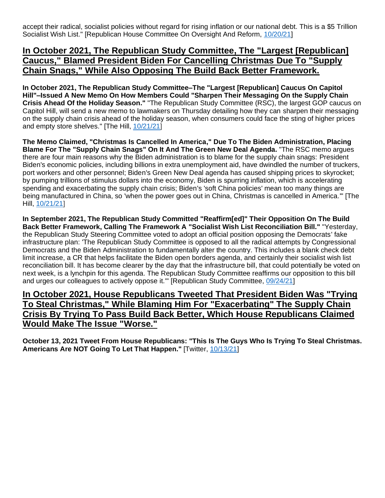accept their radical, socialist policies without regard for rising inflation or our national debt. This is a \$5 Trillion Socialist Wish List." [Republican House Committee On Oversight And Reform, [10/20/21\]](https://republicans-oversight.house.gov/blog/waste-watch-bidens-socialist-wish-list/)

### **In October 2021, The Republican Study Committee, The "Largest [Republican] Caucus," Blamed President Biden For Cancelling Christmas Due To "Supply Chain Snags," While Also Opposing The Build Back Better Framework.**

**In October 2021, The Republican Study Committee–The "Largest [Republican] Caucus On Capitol Hill"–Issued A New Memo On How Members Could "Sharpen Their Messaging On the Supply Chain Crisis Ahead Of the Holiday Season."** "The Republican Study Committee (RSC), the largest GOP caucus on Capitol Hill, will send a new memo to lawmakers on Thursday detailing how they can sharpen their messaging on the supply chain crisis ahead of the holiday season, when consumers could face the sting of higher prices and empty store shelves." [The Hill, [10/21/21\]](https://thehill.com/homenews/house/577823-gop-memo-urges-lawmakers-to-blame-white-house-grinches-for-christmas-delays)

**The Memo Claimed, "Christmas Is Cancelled In America," Due To The Biden Administration, Placing Blame For The "Supply Chain Snags" On It And The Green New Deal Agenda.** "The RSC memo argues there are four main reasons why the Biden administration is to blame for the supply chain snags: President Biden's economic policies, including billions in extra unemployment aid, have dwindled the number of truckers, port workers and other personnel; Biden's Green New Deal agenda has caused shipping prices to skyrocket; by pumping trillions of stimulus dollars into the economy, Biden is spurring inflation, which is accelerating spending and exacerbating the supply chain crisis; Biden's 'soft China policies' mean too many things are being manufactured in China, so 'when the power goes out in China, Christmas is cancelled in America.'" [The Hill, [10/21/21\]](https://thehill.com/homenews/house/577823-gop-memo-urges-lawmakers-to-blame-white-house-grinches-for-christmas-delays)

**In September 2021, The Republican Study Committed "Reaffirm[ed]" Their Opposition On The Build Back Better Framework, Calling The Framework A "Socialist Wish List Reconciliation Bill."** "Yesterday, the Republican Study Steering Committee voted to adopt an official position opposing the Democrats' fake infrastructure plan: 'The Republican Study Committee is opposed to all the radical attempts by Congressional Democrats and the Biden Administration to fundamentally alter the country. This includes a blank check debt limit increase, a CR that helps facilitate the Biden open borders agenda, and certainly their socialist wish list reconciliation bill. It has become clearer by the day that the infrastructure bill, that could potentially be voted on next week, is a lynchpin for this agenda. The Republican Study Committee reaffirms our opposition to this bill and urges our colleagues to actively oppose it.'" [Republican Study Committee, [09/24/21\]](https://rsc-banks.house.gov/news/press-releases/rsc-opposes-democrats-socialist-spending-plan)

**In October 2021, House Republicans Tweeted That President Biden Was "Trying To Steal Christmas," While Blaming Him For "Exacerbating" The Supply Chain Crisis By Trying To Pass Build Back Better, Which House Republicans Claimed Would Make The Issue "Worse."**

**October 13, 2021 Tweet From House Republicans: "This Is The Guys Who Is Trying To Steal Christmas. Americans Are NOT Going To Let That Happen."** [Twitter, [10/13/21\]](https://twitter.com/housegop/status/1448373345314029569)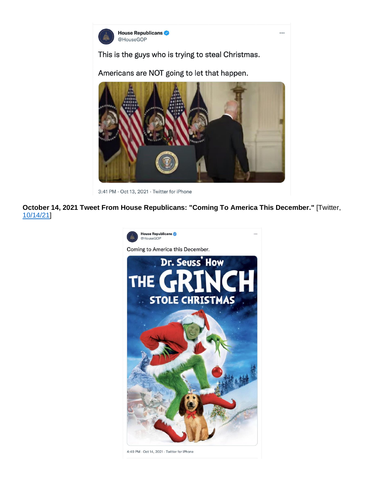

This is the guys who is trying to steal Christmas.

Americans are NOT going to let that happen.



3:41 PM · Oct 13, 2021 · Twitter for iPhone

**October 14, 2021 Tweet From House Republicans: "Coming To America This December."** [Twitter, [10/14/21\]](https://twitter.com/HouseGOP/status/1448752871277834248?ref_src=twsrc%5Etfw%7Ctwcamp%5Etweetembed%7Ctwterm%5E1448752871277834248%7Ctwgr%5E%7Ctwcon%5Es1_&ref_url=https%3A%2F%2Fwww.salon.com%2F2021%2F10%2F16%2Fits-not-even-halloween-and-are-already-claiming-biden-is-stealing-christmas%2F)



4:49 PM · Oct 14, 2021 · Twitter for iPhone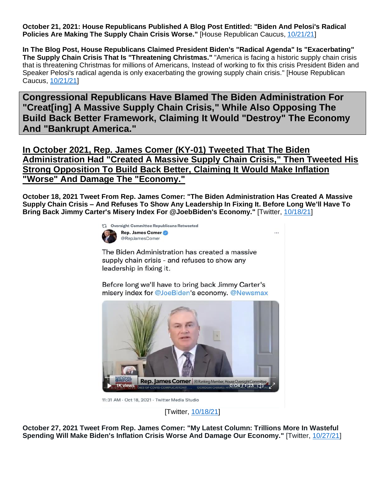**October 21, 2021: House Republicans Published A Blog Post Entitled: "Biden And Pelosi's Radical Policies Are Making The Supply Chain Crisis Worse."** [House Republican Caucus, [10/21/21\]](https://www.gop.gov/biden-and-pelosis-radical-policies-are-making-the-supply-chain-crisis-worse/)

**In The Blog Post, House Republicans Claimed President Biden's "Radical Agenda" Is "Exacerbating" The Supply Chain Crisis That Is "Threatening Christmas."** "America is facing a historic supply chain crisis that is threatening Christmas for millions of Americans, Instead of working to fix this crisis President Biden and Speaker Pelosi's radical agenda is only exacerbating the growing supply chain crisis." [House Republican Caucus, [10/21/21\]](https://www.gop.gov/biden-and-pelosis-radical-policies-are-making-the-supply-chain-crisis-worse/)

**Congressional Republicans Have Blamed The Biden Administration For "Creat[ing] A Massive Supply Chain Crisis," While Also Opposing The Build Back Better Framework, Claiming It Would "Destroy" The Economy And "Bankrupt America."**

**In October 2021, Rep. James Comer (KY-01) Tweeted That The Biden Administration Had "Created A Massive Supply Chain Crisis," Then Tweeted His Strong Opposition To Build Back Better, Claiming It Would Make Inflation "Worse" And Damage The "Economy."**

**October 18, 2021 Tweet From Rep. James Comer: "The Biden Administration Has Created A Massive Supply Chain Crisis – And Refuses To Show Any Leadership In Fixing It. Before Long We'll Have To Bring Back Jimmy Carter's Misery Index For @JoebBiden's Economy."** [Twitter, [10/18/21\]](https://twitter.com/GOPoversight/status/1450122587468705793)

...



The Biden Administration has created a massive supply chain crisis - and refuses to show any leadership in fixing it.

Before long we'll have to bring back Jimmy Carter's misery index for @JoeBiden's economy. @Newsmax



11:31 AM · Oct 18, 2021 · Twitter Media Studio

[Twitter, [10/18/21\]](https://twitter.com/GOPoversight/status/1450122587468705793)

**October 27, 2021 Tweet From Rep. James Comer: "My Latest Column: Trillions More In Wasteful Spending Will Make Biden's Inflation Crisis Worse And Damage Our Economy."** [Twitter[, 10/27/21\]](https://twitter.com/RepJamesComer/status/1453347728650551296)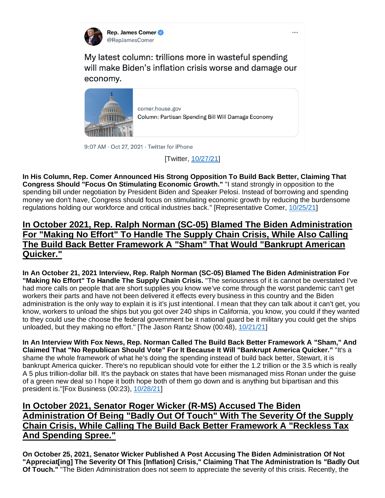

My latest column: trillions more in wasteful spending will make Biden's inflation crisis worse and damage our economy.



comer.house.gov Column: Partisan Spending Bill Will Damage Economy

9:07 AM · Oct 27, 2021 · Twitter for iPhone

[Twitter, [10/27/21\]](https://twitter.com/RepJamesComer/status/1453347728650551296)

**In His Column, Rep. Comer Announced His Strong Opposition To Build Back Better, Claiming That Congress Should "Focus On Stimulating Economic Growth."** "I stand strongly in opposition to the spending bill under negotiation by President Biden and Speaker Pelosi. Instead of borrowing and spending money we don't have, Congress should focus on stimulating economic growth by reducing the burdensome regulations holding our workforce and critical industries back." [Representative Comer, [10/25/21\]](https://comer.house.gov/press-release?id=5DB3B1E8-19F6-4E0D-9EFE-4EBD3C55D852)

### **In October 2021, Rep. Ralph Norman (SC-05) Blamed The Biden Administration For "Making No Effort" To Handle The Supply Chain Crisis, While Also Calling The Build Back Better Framework A "Sham" That Would "Bankrupt American Quicker."**

**In An October 21, 2021 Interview, Rep. Ralph Norman (SC-05) Blamed The Biden Administration For "Making No Effort" To Handle The Supply Chain Crisis.** "The seriousness of it is cannot be overstated I've had more calls on people that are short supplies you know we've come through the worst pandemic can't get workers their parts and have not been delivered it effects every business in this country and the Biden administration is the only way to explain it is it's just intentional. I mean that they can talk about it can't get, you know, workers to unload the ships but you got over 240 ships in California, you know, you could if they wanted to they could use the choose the federal government be it national guard be it military you could get the ships unloaded, but they making no effort." [The Jason Rantz Show (00:48), [10/21/21\]](https://omny.fm/shows/the-jason-rantz-show/congressman-ralph-norman-describes-some-of-the-sup)

**In An Interview With Fox News, Rep. Norman Called The Build Back Better Framework A "Sham," And Claimed That "No Republican Should Vote" For It Because It Will "Bankrupt America Quicker."** "It's a shame the whole framework of what he's doing the spending instead of build back better, Stewart, it is bankrupt America quicker. There's no republican should vote for either the 1.2 trillion or the 3.5 which is really A 5 plus trillion-dollar bill. It's the payback on states that have been mismanaged miss Ronan under the guise of a green new deal so I hope it both hope both of them go down and is anything but bipartisan and this president is."[Fox Business (00:23), [10/28/21\]](https://video.foxbusiness.com/v/6279209703001#sp=show-clips)

## **In October 2021, Senator Roger Wicker (R-MS) Accused The Biden Administration Of Being "Badly Out Of Touch" With The Severity Of the Supply Chain Crisis, While Calling The Build Back Better Framework A "Reckless Tax And Spending Spree."**

**On October 25, 2021, Senator Wicker Published A Post Accusing The Biden Administration Of Not "Appreciat[ing] The Severity Of This [Inflation] Crisis," Claiming That The Administration Is "Badly Out Of Touch."** "The Biden Administration does not seem to appreciate the severity of this crisis. Recently, the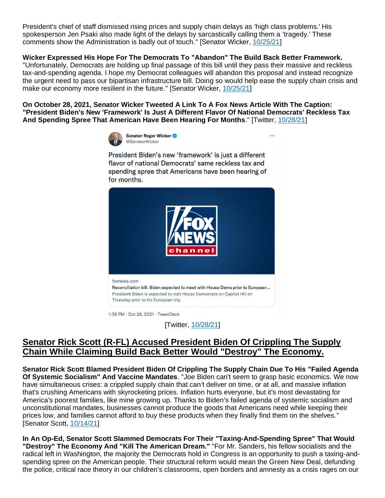President's chief of staff dismissed rising prices and supply chain delays as 'high class problems.' His spokesperson Jen Psaki also made light of the delays by sarcastically calling them a 'tragedy.' These comments show the Administration is badly out of touch." [Senator Wicker, [10/25/21\]](https://www.wicker.senate.gov/2021/10/wicker-works-to-alleviate-supply-chain-crisis)

#### **Wicker Expressed His Hope For The Democrats To "Abandon" The Build Back Better Framework.**

"Unfortunately, Democrats are holding up final passage of this bill until they pass their massive and reckless tax-and-spending agenda. I hope my Democrat colleagues will abandon this proposal and instead recognize the urgent need to pass our bipartisan infrastructure bill. Doing so would help ease the supply chain crisis and make our economy more resilient in the future." [Senator Wicker, [10/25/21\]](https://www.wicker.senate.gov/2021/10/wicker-works-to-alleviate-supply-chain-crisis)

**On October 28, 2021, Senator Wicker Tweeted A Link To A Fox News Article With The Caption: "President Biden's New 'Framework' Is Just A Different Flavor Of National Democrats' Reckless Tax And Spending Spree That American Have Been Hearing For Months**." [Twitter, [10/28/21\]](https://twitter.com/SenatorWicker/status/1453777761940779009)



President Biden's new 'framework' is just a different flavor of national Democrats' same reckless tax and spending spree that Americans have been hearing of for months.

...



1:36 PM · Oct 28, 2021 · TweetDeck

[Twitter, [10/28/21\]](https://twitter.com/SenatorWicker/status/1453777761940779009)

### **Senator Rick Scott (R-FL) Accused President Biden Of Crippling The Supply Chain While Claiming Build Back Better Would "Destroy" The Economy.**

**Senator Rick Scott Blamed President Biden Of Crippling The Supply Chain Due To His "Failed Agenda Of Systemic Socialism" And Vaccine Mandates**. "Joe Biden can't seem to grasp basic economics. We now have simultaneous crises: a crippled supply chain that can't deliver on time, or at all, and massive inflation that's crushing Americans with skyrocketing prices. Inflation hurts everyone, but it's most devastating for America's poorest families, like mine growing up. Thanks to Biden's failed agenda of systemic socialism and unconstitutional mandates, businesses cannot produce the goods that Americans need while keeping their prices low, and families cannot afford to buy these products when they finally find them on the shelves." [Senator Scott, [10/14/21\]](https://www.rickscott.senate.gov/2021/10/sen-rick-scott-the-only-person-joe-biden-can-blame-for-inflation-crisis-is-himself)

**In An Op-Ed, Senator Scott Slammed Democrats For Their "Taxing-And-Spending Spree" That Would "Destroy" The Economy And "Kill The American Dream."** "For Mr. Sanders, his fellow socialists and the radical left in Washington, the majority the Democrats hold in Congress is an opportunity to push a taxing-andspending spree on the American people. Their structural reform would mean the Green New Deal, defunding the police, critical race theory in our children's classrooms, open borders and amnesty as a crisis rages on our